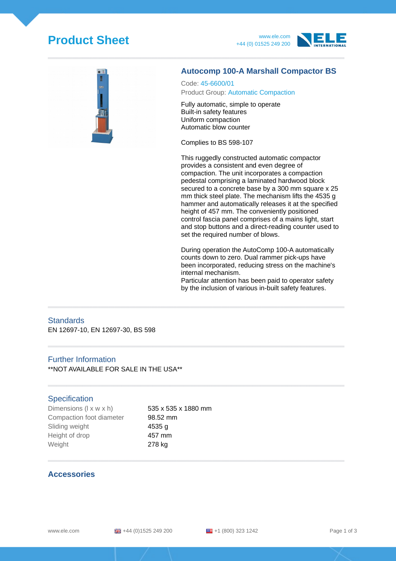# **Product Sheet** www.ele.com







#### **Autocomp 100-A Marshall Compactor BS**

Code: 45-6600/01 Product Group: Automatic Compaction

Fully automatic, simple to operate Built-in safety features Uniform compaction Automatic blow counter

Complies to BS 598-107

This ruggedly constructed automatic compactor provides a consistent and even degree of compaction. The unit incorporates a compaction pedestal comprising a laminated hardwood block secured to a concrete base by a 300 mm square x 25 mm thick steel plate. The mechanism lifts the 4535 g hammer and automatically releases it at the specified height of 457 mm. The conveniently positioned control fascia panel comprises of a mains light, start and stop buttons and a direct-reading counter used to set the required number of blows.

During operation the AutoComp 100-A automatically counts down to zero. Dual rammer pick-ups have been incorporated, reducing stress on the machine's internal mechanism.

Particular attention has been paid to operator safety by the inclusion of various in-built safety features.

#### **Standards**

EN 12697-10, EN 12697-30, BS 598

#### Further Information

\*\*NOT AVAILABLE FOR SALE IN THE USA\*\*

#### **Specification**

Dimensions  $(l \times w \times h)$  535 x 535 x 1880 mm Compaction foot diameter 98.52 mm Sliding weight **4535 g** Height of drop 457 mm Weight 278 kg

### **Accessories**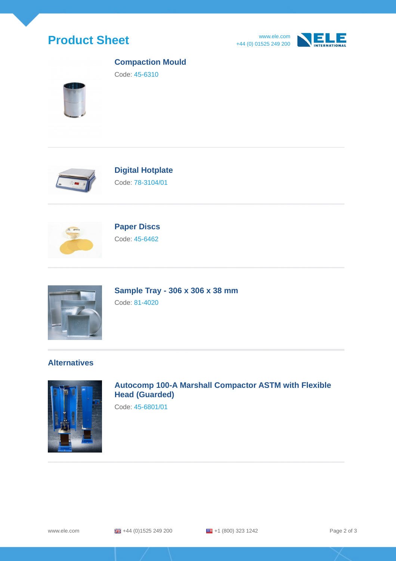







### **Compaction Mould**

Code: 45-6310



# **Digital Hotplate**

Code: 78-3104/01



# **Paper Discs** Code: 45-6462



**Sample Tray - 306 x 306 x 38 mm** Code: 81-4020

## **Alternatives**



**Autocomp 100-A Marshall Compactor ASTM with Flexible Head (Guarded)**

Code: 45-6801/01